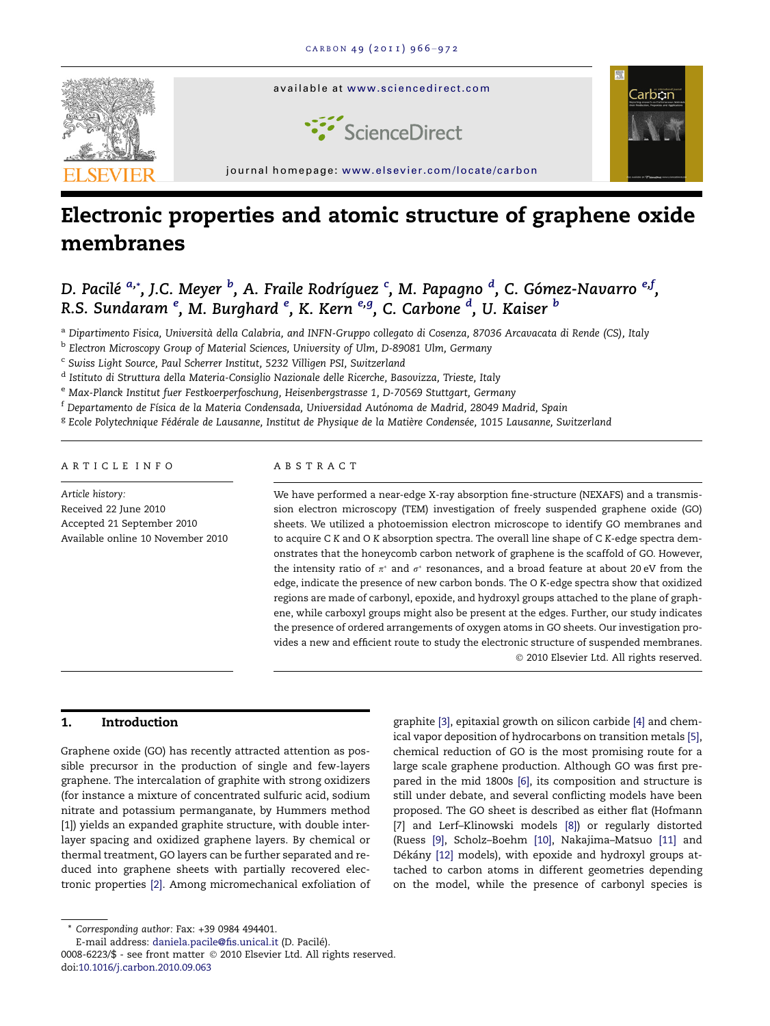

# Electronic properties and atomic structure of graphene oxide membranes

D. Pacilé <sup>a,</sup>\*, J.C. Meyer <sup>b</sup>, A. Fraile Rodríguez <sup>c</sup>, M. Papagno <sup>d</sup>, C. Gómez-Navarro <sup>e,f</sup>, R.S. Sundaram <sup>e</sup>, M. Burghard <sup>e</sup>, K. Kern <sup>e,g</sup>, C. Carbone <sup>d</sup>, U. Kaiser <sup>b</sup>

a Dipartimento Fisica, Università della Calabria, and INFN-Gruppo collegato di Cosenza, 87036 Arcavacata di Rende (CS), Italy

<sup>b</sup> Electron Microscopy Group of Material Sciences, University of Ulm, D-89081 Ulm, Germany

<sup>c</sup> Swiss Light Source, Paul Scherrer Institut, 5232 Villigen PSI, Switzerland

<sup>d</sup> Istituto di Struttura della Materia-Consiglio Nazionale delle Ricerche, Basovizza, Trieste, Italy

e Max-Planck Institut fuer Festkoerperfoschung, Heisenbergstrasse 1, D-70569 Stuttgart, Germany

 $^{\rm f}$  Departamento de Física de la Materia Condensada, Universidad Autónoma de Madrid, 28049 Madrid, Spain

<sup>g</sup> Ecole Polytechnique Fédérale de Lausanne, Institut de Physique de la Matière Condensée, 1015 Lausanne, Switzerland

### ARTICLE INFO

Article history: Received 22 June 2010 Accepted 21 September 2010 Available online 10 November 2010

#### ABSTRACT

We have performed a near-edge X-ray absorption fine-structure (NEXAFS) and a transmission electron microscopy (TEM) investigation of freely suspended graphene oxide (GO) sheets. We utilized a photoemission electron microscope to identify GO membranes and to acquire C K and O K absorption spectra. The overall line shape of C K-edge spectra demonstrates that the honeycomb carbon network of graphene is the scaffold of GO. However, the intensity ratio of  $\pi^*$  and  $\sigma^*$  resonances, and a broad feature at about 20 eV from the edge, indicate the presence of new carbon bonds. The O K-edge spectra show that oxidized regions are made of carbonyl, epoxide, and hydroxyl groups attached to the plane of graphene, while carboxyl groups might also be present at the edges. Further, our study indicates the presence of ordered arrangements of oxygen atoms in GO sheets. Our investigation provides a new and efficient route to study the electronic structure of suspended membranes. - 2010 Elsevier Ltd. All rights reserved.

## 1. Introduction

Graphene oxide (GO) has recently attracted attention as possible precursor in the production of single and few-layers graphene. The intercalation of graphite with strong oxidizers (for instance a mixture of concentrated sulfuric acid, sodium nitrate and potassium permanganate, by Hummers method [\[1\]\)](#page-5-0) yields an expanded graphite structure, with double interlayer spacing and oxidized graphene layers. By chemical or thermal treatment, GO layers can be further separated and reduced into graphene sheets with partially recovered electronic properties [\[2\].](#page-5-0) Among micromechanical exfoliation of

\* Corresponding author: Fax: +39 0984 494401.

E-mail address: [daniela.pacile@fis.unical.it](mailto:daniela.pacile@fis.unical.it) (D. Pacilé).

0008-6223/\$ - see front matter © 2010 Elsevier Ltd. All rights reserved. doi:[10.1016/j.carbon.2010.09.063](http://dx.doi.org/10.1016/j.carbon.2010.09.063)

graphite [\[3\]](#page-5-0), epitaxial growth on silicon carbide [\[4\]](#page-5-0) and chemical vapor deposition of hydrocarbons on transition metals [\[5\]](#page-5-0), chemical reduction of GO is the most promising route for a large scale graphene production. Although GO was first prepared in the mid 1800s [\[6\],](#page-5-0) its composition and structure is still under debate, and several conflicting models have been proposed. The GO sheet is described as either flat (Hofmann [\[7\]](#page-5-0) and Lerf–Klinowski models [\[8\]](#page-5-0)) or regularly distorted (Ruess [\[9\],](#page-5-0) Scholz–Boehm [\[10\],](#page-5-0) Nakajima–Matsuo [\[11\]](#page-5-0) and Dékány [\[12\]](#page-5-0) models), with epoxide and hydroxyl groups attached to carbon atoms in different geometries depending on the model, while the presence of carbonyl species is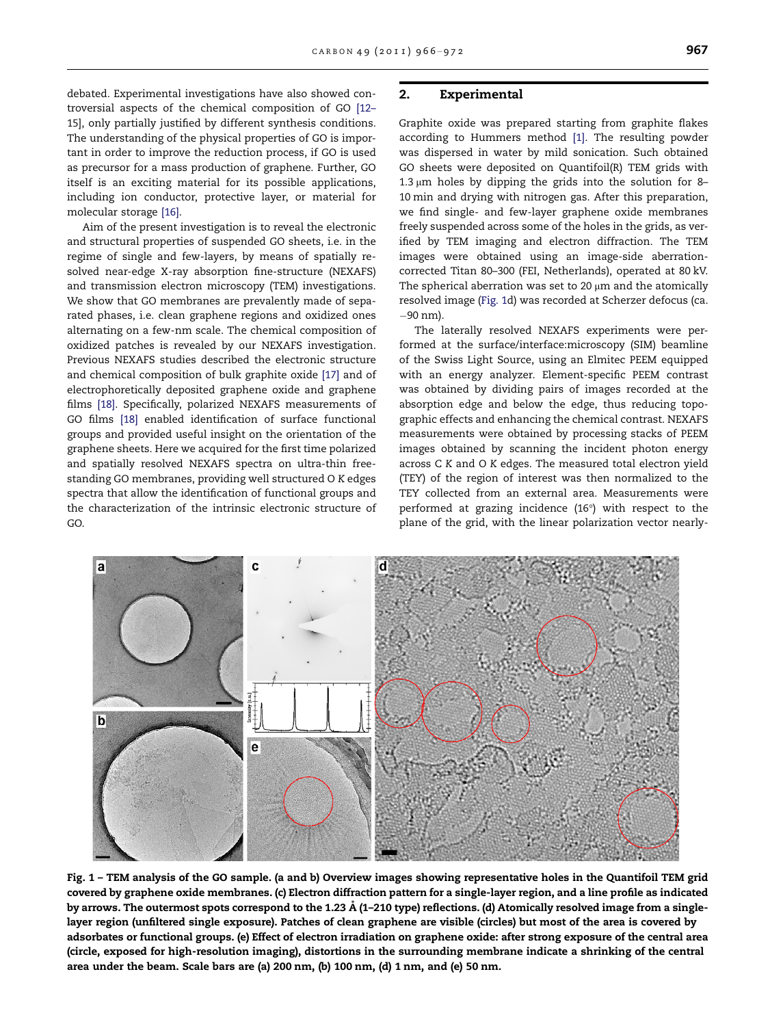<span id="page-1-0"></span>debated. Experimental investigations have also showed controversial aspects of the chemical composition of GO [\[12–](#page-5-0) [15\]](#page-5-0), only partially justified by different synthesis conditions. The understanding of the physical properties of GO is important in order to improve the reduction process, if GO is used as precursor for a mass production of graphene. Further, GO itself is an exciting material for its possible applications, including ion conductor, protective layer, or material for molecular storage [\[16\].](#page-6-0)

Aim of the present investigation is to reveal the electronic and structural properties of suspended GO sheets, i.e. in the regime of single and few-layers, by means of spatially resolved near-edge X-ray absorption fine-structure (NEXAFS) and transmission electron microscopy (TEM) investigations. We show that GO membranes are prevalently made of separated phases, i.e. clean graphene regions and oxidized ones alternating on a few-nm scale. The chemical composition of oxidized patches is revealed by our NEXAFS investigation. Previous NEXAFS studies described the electronic structure and chemical composition of bulk graphite oxide [\[17\]](#page-6-0) and of electrophoretically deposited graphene oxide and graphene films [\[18\]](#page-6-0). Specifically, polarized NEXAFS measurements of GO films [\[18\]](#page-6-0) enabled identification of surface functional groups and provided useful insight on the orientation of the graphene sheets. Here we acquired for the first time polarized and spatially resolved NEXAFS spectra on ultra-thin freestanding GO membranes, providing well structured O K edges spectra that allow the identification of functional groups and the characterization of the intrinsic electronic structure of GO.

# 2. Experimental

Graphite oxide was prepared starting from graphite flakes according to Hummers method [\[1\].](#page-5-0) The resulting powder was dispersed in water by mild sonication. Such obtained GO sheets were deposited on Quantifoil(R) TEM grids with  $1.3 \mu m$  holes by dipping the grids into the solution for 8-10 min and drying with nitrogen gas. After this preparation, we find single- and few-layer graphene oxide membranes freely suspended across some of the holes in the grids, as verified by TEM imaging and electron diffraction. The TEM images were obtained using an image-side aberrationcorrected Titan 80–300 (FEI, Netherlands), operated at 80 kV. The spherical aberration was set to 20  $\mu$ m and the atomically resolved image (Fig. 1d) was recorded at Scherzer defocus (ca. 90 nm).

The laterally resolved NEXAFS experiments were performed at the surface/interface:microscopy (SIM) beamline of the Swiss Light Source, using an Elmitec PEEM equipped with an energy analyzer. Element-specific PEEM contrast was obtained by dividing pairs of images recorded at the absorption edge and below the edge, thus reducing topographic effects and enhancing the chemical contrast. NEXAFS measurements were obtained by processing stacks of PEEM images obtained by scanning the incident photon energy across C K and O K edges. The measured total electron yield (TEY) of the region of interest was then normalized to the TEY collected from an external area. Measurements were performed at grazing incidence  $(16^{\circ})$  with respect to the plane of the grid, with the linear polarization vector nearly-



Fig. 1 – TEM analysis of the GO sample. (a and b) Overview images showing representative holes in the Quantifoil TEM grid covered by graphene oxide membranes. (c) Electron diffraction pattern for a single-layer region, and a line profile as indicated by arrows. The outermost spots correspond to the 1.23 A˚ (1–210 type) reflections. (d) Atomically resolved image from a singlelayer region (unfiltered single exposure). Patches of clean graphene are visible (circles) but most of the area is covered by adsorbates or functional groups. (e) Effect of electron irradiation on graphene oxide: after strong exposure of the central area (circle, exposed for high-resolution imaging), distortions in the surrounding membrane indicate a shrinking of the central area under the beam. Scale bars are (a) 200 nm, (b) 100 nm, (d) 1 nm, and (e) 50 nm.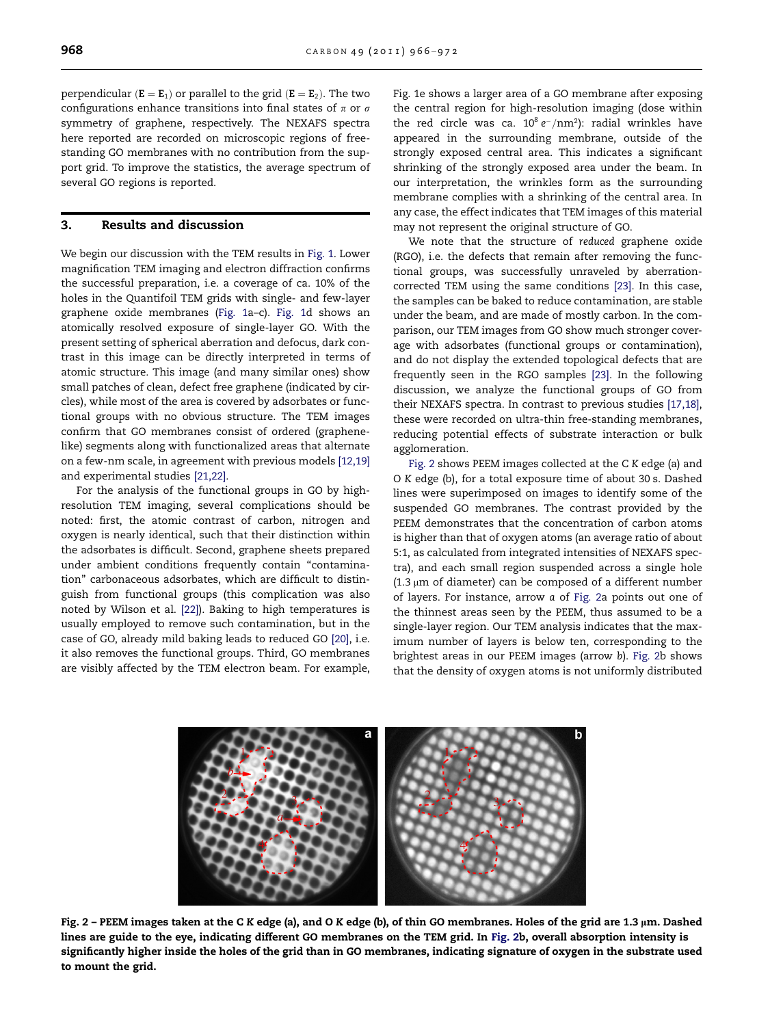<span id="page-2-0"></span>perpendicular  $(E = E_1)$  or parallel to the grid  $(E = E_2)$ . The two configurations enhance transitions into final states of  $\pi$  or  $\sigma$ symmetry of graphene, respectively. The NEXAFS spectra here reported are recorded on microscopic regions of freestanding GO membranes with no contribution from the support grid. To improve the statistics, the average spectrum of several GO regions is reported.

# 3. Results and discussion

We begin our discussion with the TEM results in [Fig. 1](#page-1-0). Lower magnification TEM imaging and electron diffraction confirms the successful preparation, i.e. a coverage of ca. 10% of the holes in the Quantifoil TEM grids with single- and few-layer graphene oxide membranes ([Fig. 1a](#page-1-0)–c). [Fig. 1d](#page-1-0) shows an atomically resolved exposure of single-layer GO. With the present setting of spherical aberration and defocus, dark contrast in this image can be directly interpreted in terms of atomic structure. This image (and many similar ones) show small patches of clean, defect free graphene (indicated by circles), while most of the area is covered by adsorbates or functional groups with no obvious structure. The TEM images confirm that GO membranes consist of ordered (graphenelike) segments along with functionalized areas that alternate on a few-nm scale, in agreement with previous models [\[12,19\]](#page-5-0) and experimental studies [\[21,22\].](#page-6-0)

For the analysis of the functional groups in GO by highresolution TEM imaging, several complications should be noted: first, the atomic contrast of carbon, nitrogen and oxygen is nearly identical, such that their distinction within the adsorbates is difficult. Second, graphene sheets prepared under ambient conditions frequently contain "contamination'' carbonaceous adsorbates, which are difficult to distinguish from functional groups (this complication was also noted by Wilson et al. [\[22\]\)](#page-6-0). Baking to high temperatures is usually employed to remove such contamination, but in the case of GO, already mild baking leads to reduced GO [\[20\]](#page-6-0), i.e. it also removes the functional groups. Third, GO membranes are visibly affected by the TEM electron beam. For example,

[Fig. 1e](#page-1-0) shows a larger area of a GO membrane after exposing the central region for high-resolution imaging (dose within the red circle was ca.  $10^8 e^-/nm^2$ ): radial wrinkles have appeared in the surrounding membrane, outside of the strongly exposed central area. This indicates a significant shrinking of the strongly exposed area under the beam. In our interpretation, the wrinkles form as the surrounding membrane complies with a shrinking of the central area. In any case, the effect indicates that TEM images of this material may not represent the original structure of GO.

We note that the structure of reduced graphene oxide (RGO), i.e. the defects that remain after removing the functional groups, was successfully unraveled by aberrationcorrected TEM using the same conditions [\[23\].](#page-6-0) In this case, the samples can be baked to reduce contamination, are stable under the beam, and are made of mostly carbon. In the comparison, our TEM images from GO show much stronger coverage with adsorbates (functional groups or contamination), and do not display the extended topological defects that are frequently seen in the RGO samples [\[23\].](#page-6-0) In the following discussion, we analyze the functional groups of GO from their NEXAFS spectra. In contrast to previous studies [\[17,18\]](#page-6-0), these were recorded on ultra-thin free-standing membranes, reducing potential effects of substrate interaction or bulk agglomeration.

Fig. 2 shows PEEM images collected at the C K edge (a) and O K edge (b), for a total exposure time of about 30 s. Dashed lines were superimposed on images to identify some of the suspended GO membranes. The contrast provided by the PEEM demonstrates that the concentration of carbon atoms is higher than that of oxygen atoms (an average ratio of about 5:1, as calculated from integrated intensities of NEXAFS spectra), and each small region suspended across a single hole  $(1.3 \mu m)$  of diameter) can be composed of a different number of layers. For instance, arrow a of Fig. 2a points out one of the thinnest areas seen by the PEEM, thus assumed to be a single-layer region. Our TEM analysis indicates that the maximum number of layers is below ten, corresponding to the brightest areas in our PEEM images (arrow b). Fig. 2b shows that the density of oxygen atoms is not uniformly distributed



Fig. 2 - PEEM images taken at the C K edge (a), and O K edge (b), of thin GO membranes. Holes of the grid are 1.3 µm. Dashed lines are guide to the eye, indicating different GO membranes on the TEM grid. In Fig. 2b, overall absorption intensity is significantly higher inside the holes of the grid than in GO membranes, indicating signature of oxygen in the substrate used to mount the grid.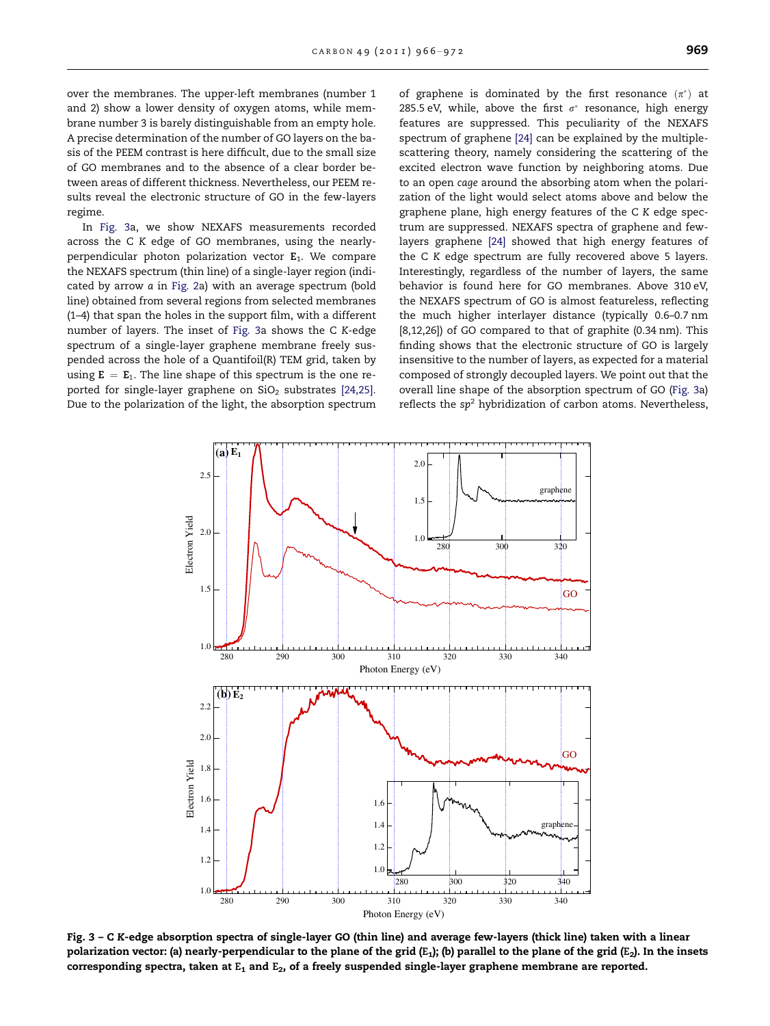<span id="page-3-0"></span>over the membranes. The upper-left membranes (number 1 and 2) show a lower density of oxygen atoms, while membrane number 3 is barely distinguishable from an empty hole. A precise determination of the number of GO layers on the basis of the PEEM contrast is here difficult, due to the small size of GO membranes and to the absence of a clear border between areas of different thickness. Nevertheless, our PEEM results reveal the electronic structure of GO in the few-layers regime.

In Fig. 3a, we show NEXAFS measurements recorded across the C K edge of GO membranes, using the nearlyperpendicular photon polarization vector  $E_1$ . We compare the NEXAFS spectrum (thin line) of a single-layer region (indicated by arrow a in [Fig. 2a](#page-2-0)) with an average spectrum (bold line) obtained from several regions from selected membranes (1–4) that span the holes in the support film, with a different number of layers. The inset of Fig. 3a shows the C K-edge spectrum of a single-layer graphene membrane freely suspended across the hole of a Quantifoil(R) TEM grid, taken by using  $E = E_1$ . The line shape of this spectrum is the one reported for single-layer graphene on  $SiO<sub>2</sub>$  substrates [\[24,25\].](#page-6-0) Due to the polarization of the light, the absorption spectrum

of graphene is dominated by the first resonance  $(\pi^*)$  at 285.5 eV, while, above the first  $\sigma^*$  resonance, high energy features are suppressed. This peculiarity of the NEXAFS spectrum of graphene [\[24\]](#page-6-0) can be explained by the multiplescattering theory, namely considering the scattering of the excited electron wave function by neighboring atoms. Due to an open cage around the absorbing atom when the polarization of the light would select atoms above and below the graphene plane, high energy features of the C K edge spectrum are suppressed. NEXAFS spectra of graphene and fewlayers graphene [\[24\]](#page-6-0) showed that high energy features of the C K edge spectrum are fully recovered above 5 layers. Interestingly, regardless of the number of layers, the same behavior is found here for GO membranes. Above 310 eV, the NEXAFS spectrum of GO is almost featureless, reflecting the much higher interlayer distance (typically 0.6–0.7 nm [\[8,12,26\]](#page-5-0)) of GO compared to that of graphite (0.34 nm). This finding shows that the electronic structure of GO is largely insensitive to the number of layers, as expected for a material composed of strongly decoupled layers. We point out that the overall line shape of the absorption spectrum of GO (Fig. 3a) reflects the  $sp^2$  hybridization of carbon atoms. Nevertheless,



Fig. 3 – C K-edge absorption spectra of single-layer GO (thin line) and average few-layers (thick line) taken with a linear polarization vector: (a) nearly-perpendicular to the plane of the grid (E<sub>1</sub>); (b) parallel to the plane of the grid (E<sub>2</sub>). In the insets corresponding spectra, taken at  $E_1$  and  $E_2$ , of a freely suspended single-layer graphene membrane are reported.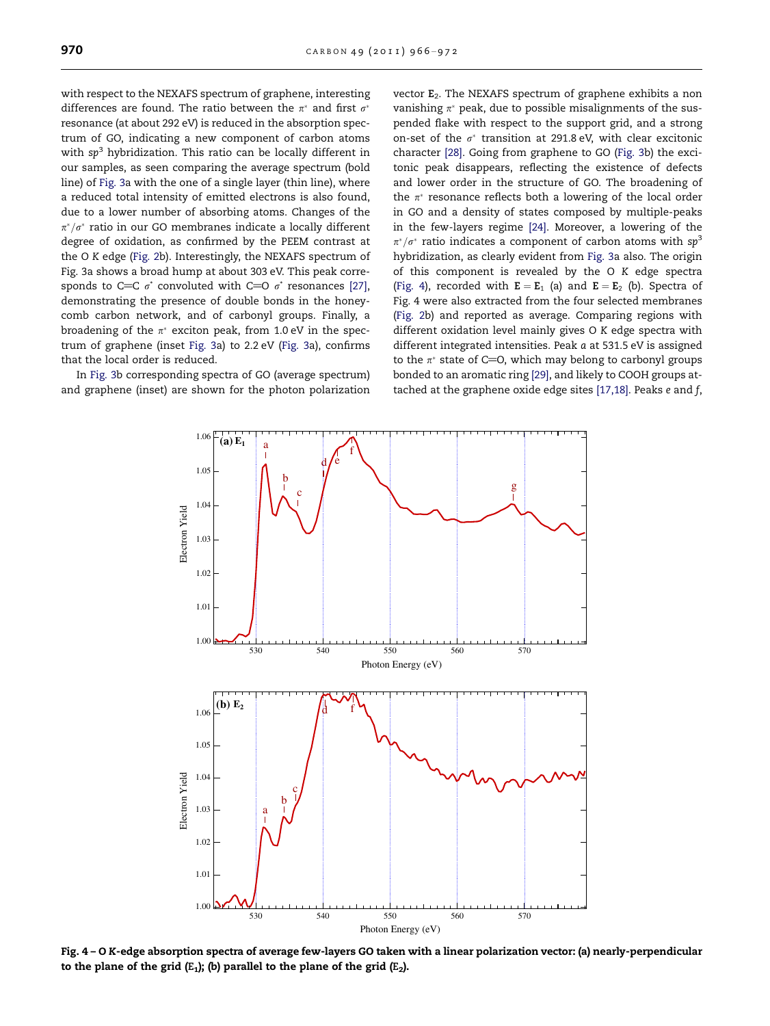<span id="page-4-0"></span>with respect to the NEXAFS spectrum of graphene, interesting differences are found. The ratio between the  $\pi^*$  and first  $\sigma^*$ resonance (at about 292 eV) is reduced in the absorption spectrum of GO, indicating a new component of carbon atoms with  $sp<sup>3</sup>$  hybridization. This ratio can be locally different in our samples, as seen comparing the average spectrum (bold line) of [Fig. 3a](#page-3-0) with the one of a single layer (thin line), where a reduced total intensity of emitted electrons is also found, due to a lower number of absorbing atoms. Changes of the  $\pi^*/\sigma^*$  ratio in our GO membranes indicate a locally different degree of oxidation, as confirmed by the PEEM contrast at the O K edge ([Fig. 2](#page-2-0)b). Interestingly, the NEXAFS spectrum of [Fig. 3a](#page-3-0) shows a broad hump at about 303 eV. This peak corresponds to C=C  $\sigma^*$  convoluted with C=O  $\sigma^*$  resonances [\[27\]](#page-6-0), demonstrating the presence of double bonds in the honeycomb carbon network, and of carbonyl groups. Finally, a broadening of the  $\pi^*$  exciton peak, from 1.0 eV in the spectrum of graphene (inset [Fig. 3a](#page-3-0)) to 2.2 eV [\(Fig. 3](#page-3-0)a), confirms that the local order is reduced.

In [Fig. 3](#page-3-0)b corresponding spectra of GO (average spectrum) and graphene (inset) are shown for the photon polarization vector  $E_2$ . The NEXAFS spectrum of graphene exhibits a non vanishing  $\pi^*$  peak, due to possible misalignments of the suspended flake with respect to the support grid, and a strong on-set of the  $\sigma^*$  transition at 291.8 eV, with clear excitonic character [\[28\].](#page-6-0) Going from graphene to GO ([Fig. 3b](#page-3-0)) the excitonic peak disappears, reflecting the existence of defects and lower order in the structure of GO. The broadening of the  $\pi^*$  resonance reflects both a lowering of the local order in GO and a density of states composed by multiple-peaks in the few-layers regime [\[24\].](#page-6-0) Moreover, a lowering of the  $\pi^*/\sigma^*$  ratio indicates a component of carbon atoms with sp<sup>3</sup> hybridization, as clearly evident from [Fig. 3](#page-3-0)a also. The origin of this component is revealed by the O K edge spectra (Fig. 4), recorded with  $E = E_1$  (a) and  $E = E_2$  (b). Spectra of Fig. 4 were also extracted from the four selected membranes ([Fig. 2b](#page-2-0)) and reported as average. Comparing regions with different oxidation level mainly gives O K edge spectra with different integrated intensities. Peak a at 531.5 eV is assigned to the  $\pi^*$  state of C=0, which may belong to carbonyl groups bonded to an aromatic ring [\[29\],](#page-6-0) and likely to COOH groups attached at the graphene oxide edge sites [\[17,18\]](#page-6-0). Peaks e and f,



Fig. 4 – O K-edge absorption spectra of average few-layers GO taken with a linear polarization vector: (a) nearly-perpendicular to the plane of the grid  $(E_1)$ ; (b) parallel to the plane of the grid  $(E_2)$ .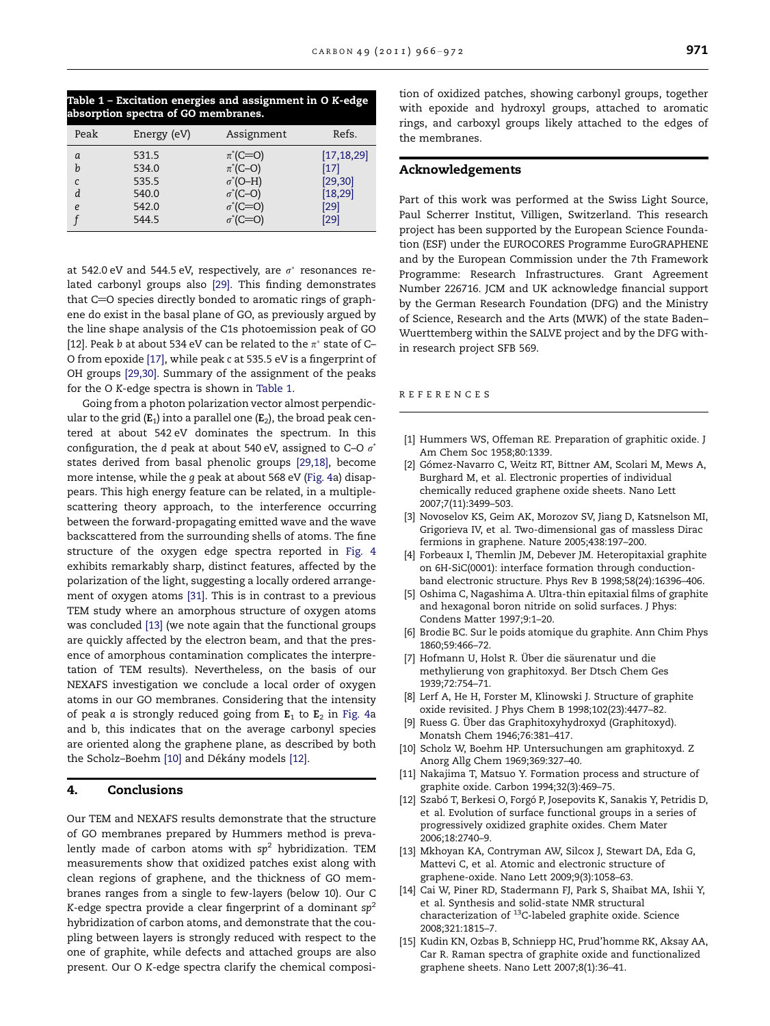<span id="page-5-0"></span>

| Table 1 - Excitation energies and assignment in O K-edge |  |
|----------------------------------------------------------|--|
| absorption spectra of GO membranes.                      |  |

| Peak | Energy (eV) | Assignment       | Refs.        |
|------|-------------|------------------|--------------|
| a    | 531.5       | $\pi^*(C=O)$     | [17, 18, 29] |
| h    | 534.0       | $\pi^*(C-O)$     | [17]         |
| C    | 535.5       | $\sigma^*$ (O-H) | [29, 30]     |
| d    | 540.0       | $\sigma^*(C-O)$  | [18, 29]     |
| e    | 542.0       | $\sigma^*(C=O)$  | [29]         |
|      | 544.5       | $\sigma^*(C=O)$  | [29]         |

at 542.0 eV and 544.5 eV, respectively, are  $\sigma^*$  resonances related carbonyl groups also [\[29\].](#page-6-0) This finding demonstrates that  $C=O$  species directly bonded to aromatic rings of graphene do exist in the basal plane of GO, as previously argued by the line shape analysis of the C1s photoemission peak of GO [12]. Peak b at about 534 eV can be related to the  $\pi^*$  state of C-O from epoxide [\[17\]](#page-6-0), while peak c at 535.5 eV is a fingerprint of OH groups [\[29,30\]](#page-6-0). Summary of the assignment of the peaks for the O K-edge spectra is shown in Table 1.

Going from a photon polarization vector almost perpendicular to the grid ( $E_1$ ) into a parallel one ( $E_2$ ), the broad peak centered at about 542 eV dominates the spectrum. In this configuration, the d peak at about 540 eV, assigned to C–O  $\sigma^*$ states derived from basal phenolic groups [\[29,18\]](#page-6-0), become more intense, while the g peak at about 568 eV ([Fig. 4a](#page-4-0)) disappears. This high energy feature can be related, in a multiplescattering theory approach, to the interference occurring between the forward-propagating emitted wave and the wave backscattered from the surrounding shells of atoms. The fine structure of the oxygen edge spectra reported in [Fig. 4](#page-4-0) exhibits remarkably sharp, distinct features, affected by the polarization of the light, suggesting a locally ordered arrangement of oxygen atoms [\[31\].](#page-6-0) This is in contrast to a previous TEM study where an amorphous structure of oxygen atoms was concluded [13] (we note again that the functional groups are quickly affected by the electron beam, and that the presence of amorphous contamination complicates the interpretation of TEM results). Nevertheless, on the basis of our NEXAFS investigation we conclude a local order of oxygen atoms in our GO membranes. Considering that the intensity of peak a is strongly reduced going from  $E_1$  to  $E_2$  in [Fig. 4](#page-4-0)a and b, this indicates that on the average carbonyl species are oriented along the graphene plane, as described by both the Scholz-Boehm [10] and Dékány models [12].

# 4. Conclusions

Our TEM and NEXAFS results demonstrate that the structure of GO membranes prepared by Hummers method is prevalently made of carbon atoms with  $sp^2$  hybridization. TEM measurements show that oxidized patches exist along with clean regions of graphene, and the thickness of GO membranes ranges from a single to few-layers (below 10). Our C K-edge spectra provide a clear fingerprint of a dominant  $sp^2$ hybridization of carbon atoms, and demonstrate that the coupling between layers is strongly reduced with respect to the one of graphite, while defects and attached groups are also present. Our O K-edge spectra clarify the chemical composition of oxidized patches, showing carbonyl groups, together with epoxide and hydroxyl groups, attached to aromatic rings, and carboxyl groups likely attached to the edges of the membranes.

## Acknowledgements

Part of this work was performed at the Swiss Light Source, Paul Scherrer Institut, Villigen, Switzerland. This research project has been supported by the European Science Foundation (ESF) under the EUROCORES Programme EuroGRAPHENE and by the European Commission under the 7th Framework Programme: Research Infrastructures. Grant Agreement Number 226716. JCM and UK acknowledge financial support by the German Research Foundation (DFG) and the Ministry of Science, Research and the Arts (MWK) of the state Baden– Wuerttemberg within the SALVE project and by the DFG within research project SFB 569.

#### REFERENCES

- [1] Hummers WS, Offeman RE. Preparation of graphitic oxide. J Am Chem Soc 1958;80:1339.
- [2] Gómez-Navarro C, Weitz RT, Bittner AM, Scolari M, Mews A, Burghard M, et al. Electronic properties of individual chemically reduced graphene oxide sheets. Nano Lett 2007;7(11):3499–503.
- [3] Novoselov KS, Geim AK, Morozov SV, Jiang D, Katsnelson MI, Grigorieva IV, et al. Two-dimensional gas of massless Dirac fermions in graphene. Nature 2005;438:197–200.
- [4] Forbeaux I, Themlin JM, Debever JM. Heteropitaxial graphite on 6H-SiC(0001): interface formation through conductionband electronic structure. Phys Rev B 1998;58(24):16396–406.
- [5] Oshima C, Nagashima A. Ultra-thin epitaxial films of graphite and hexagonal boron nitride on solid surfaces. J Phys: Condens Matter 1997;9:1–20.
- [6] Brodie BC. Sur le poids atomique du graphite. Ann Chim Phys 1860;59:466–72.
- [7] Hofmann U, Holst R. Über die säurenatur und die methylierung von graphitoxyd. Ber Dtsch Chem Ges 1939;72:754–71.
- [8] Lerf A, He H, Forster M, Klinowski J. Structure of graphite oxide revisited. J Phys Chem B 1998;102(23):4477–82.
- [9] Ruess G. Über das Graphitoxyhydroxyd (Graphitoxyd). Monatsh Chem 1946;76:381–417.
- [10] Scholz W, Boehm HP. Untersuchungen am graphitoxyd. Z Anorg Allg Chem 1969;369:327–40.
- [11] Nakajima T, Matsuo Y. Formation process and structure of graphite oxide. Carbon 1994;32(3):469–75.
- [12] Szabó T, Berkesi O, Forgó P, Josepovits K, Sanakis Y, Petridis D, et al. Evolution of surface functional groups in a series of progressively oxidized graphite oxides. Chem Mater 2006;18:2740–9.
- [13] Mkhoyan KA, Contryman AW, Silcox J, Stewart DA, Eda G, Mattevi C, et al. Atomic and electronic structure of graphene-oxide. Nano Lett 2009;9(3):1058–63.
- [14] Cai W, Piner RD, Stadermann FJ, Park S, Shaibat MA, Ishii Y, et al. Synthesis and solid-state NMR structural characterization of 13C-labeled graphite oxide. Science 2008;321:1815–7.
- [15] Kudin KN, Ozbas B, Schniepp HC, Prud'homme RK, Aksay AA, Car R. Raman spectra of graphite oxide and functionalized graphene sheets. Nano Lett 2007;8(1):36–41.